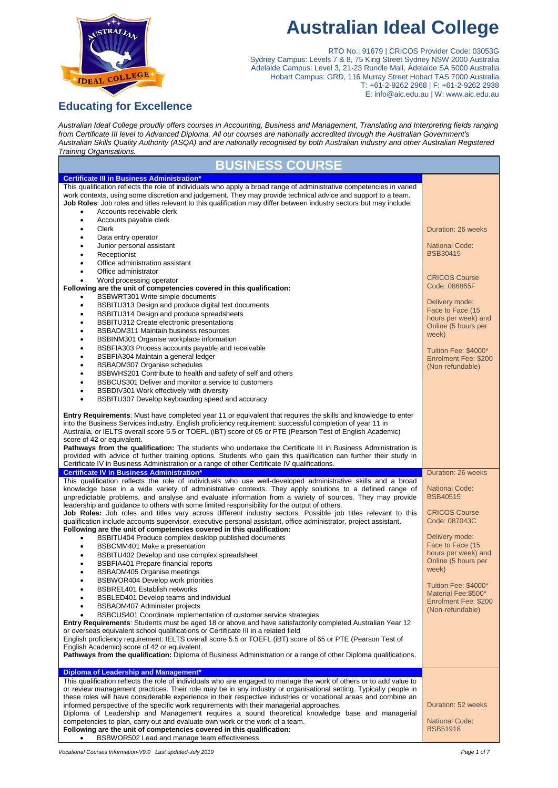

# **Australian Ideal College**

RTO No.: 91679 | CRICOS Provider Code: 03053G Sydney Campus: Levels 7 & 8, 75 King Street Sydney NSW 2000 Australia Adelaide Campus: Level 3, 21-23 Rundle Mall, Adelaide SA 5000 Australia Hobart Campus: GRD, 116 Murray Street Hobart TAS 7000 Australia T: +61-2-9262 2968 | F: +61-2-9262 2938 E: info@aic.edu.au | W: www.aic.edu.au

# **Educating for Excellence**

*Australian Ideal College proudly offers courses in Accounting, Business and Management, Translating and Interpreting fields ranging from Certificate III level to Advanced Diploma. All our courses are nationally accredited through the Australian Government's Australian Skills Quality Authority (ASQA) and are nationally recognised by both Australian industry and other Australian Registered Training Organisations.*

| <b>BUSINESS COURSE</b>                                                                                                                                                                                                                                                                                                                                                                                                                                                                                                                                                                                                                                                                                             |                                                                  |
|--------------------------------------------------------------------------------------------------------------------------------------------------------------------------------------------------------------------------------------------------------------------------------------------------------------------------------------------------------------------------------------------------------------------------------------------------------------------------------------------------------------------------------------------------------------------------------------------------------------------------------------------------------------------------------------------------------------------|------------------------------------------------------------------|
| <b>Certificate III in Business Administration*</b>                                                                                                                                                                                                                                                                                                                                                                                                                                                                                                                                                                                                                                                                 |                                                                  |
| This qualification reflects the role of individuals who apply a broad range of administrative competencies in varied<br>work contexts, using some discretion and judgement. They may provide technical advice and support to a team.<br>Job Roles: Job roles and titles relevant to this qualification may differ between industry sectors but may include:<br>Accounts receivable clerk                                                                                                                                                                                                                                                                                                                           |                                                                  |
| Accounts payable clerk<br>$\bullet$<br>Clerk<br>٠                                                                                                                                                                                                                                                                                                                                                                                                                                                                                                                                                                                                                                                                  | Duration: 26 weeks                                               |
| Data entry operator<br>٠<br>Junior personal assistant<br>٠<br>Receptionist<br>٠                                                                                                                                                                                                                                                                                                                                                                                                                                                                                                                                                                                                                                    | <b>National Code:</b><br><b>BSB30415</b>                         |
| Office administration assistant<br>٠<br>Office administrator<br>$\bullet$<br>Word processing operator                                                                                                                                                                                                                                                                                                                                                                                                                                                                                                                                                                                                              | <b>CRICOS Course</b>                                             |
| Following are the unit of competencies covered in this qualification:<br>BSBWRT301 Write simple documents                                                                                                                                                                                                                                                                                                                                                                                                                                                                                                                                                                                                          | Code: 086865F<br>Delivery mode:                                  |
| BSBITU313 Design and produce digital text documents<br>$\bullet$<br>BSBITU314 Design and produce spreadsheets<br>$\bullet$<br>BSBITU312 Create electronic presentations<br>$\bullet$                                                                                                                                                                                                                                                                                                                                                                                                                                                                                                                               | Face to Face (15<br>hours per week) and                          |
| BSBADM311 Maintain business resources<br>$\bullet$<br>BSBINM301 Organise workplace information<br>$\bullet$                                                                                                                                                                                                                                                                                                                                                                                                                                                                                                                                                                                                        | Online (5 hours per<br>week)                                     |
| BSBFIA303 Process accounts payable and receivable<br>$\bullet$<br>BSBFIA304 Maintain a general ledger<br>$\bullet$<br>BSBADM307 Organise schedules<br>$\bullet$                                                                                                                                                                                                                                                                                                                                                                                                                                                                                                                                                    | Tuition Fee: \$4000*<br>Enrolment Fee: \$200<br>(Non-refundable) |
| BSBWHS201 Contribute to health and safety of self and others<br>$\bullet$<br>BSBCUS301 Deliver and monitor a service to customers<br>$\bullet$                                                                                                                                                                                                                                                                                                                                                                                                                                                                                                                                                                     |                                                                  |
| BSBDIV301 Work effectively with diversity<br>$\bullet$<br>BSBITU307 Develop keyboarding speed and accuracy<br>$\bullet$                                                                                                                                                                                                                                                                                                                                                                                                                                                                                                                                                                                            |                                                                  |
| <b>Entry Requirements:</b> Must have completed year 11 or equivalent that requires the skills and knowledge to enter<br>into the Business Services industry. English proficiency requirement: successful completion of year 11 in<br>Australia, or IELTS overall score 5.5 or TOEFL (iBT) score of 65 or PTE (Pearson Test of English Academic)<br>score of 42 or equivalent.                                                                                                                                                                                                                                                                                                                                      |                                                                  |
| Pathways from the qualification: The students who undertake the Certificate III in Business Administration is<br>provided with advice of further training options. Students who gain this qualification can further their study in<br>Certificate IV in Business Administration or a range of other Certificate IV qualifications.                                                                                                                                                                                                                                                                                                                                                                                 |                                                                  |
| <b>Certificate IV in Business Administration*</b>                                                                                                                                                                                                                                                                                                                                                                                                                                                                                                                                                                                                                                                                  | Duration: 26 weeks                                               |
| This qualification reflects the role of individuals who use well-developed administrative skills and a broad<br>knowledge base in a wide variety of administrative contexts. They apply solutions to a defined range of<br>unpredictable problems, and analyse and evaluate information from a variety of sources. They may provide<br>leadership and guidance to others with some limited responsibility for the output of others.                                                                                                                                                                                                                                                                                | <b>National Code:</b><br><b>BSB40515</b>                         |
| Job Roles: Job roles and titles vary across different industry sectors. Possible job titles relevant to this<br>qualification include accounts supervisor, executive personal assistant, office administrator, project assistant.<br>Following are the unit of competencies covered in this qualification:                                                                                                                                                                                                                                                                                                                                                                                                         | <b>CRICOS Course</b><br>Code: 087043C                            |
| BSBITU404 Produce complex desktop published documents<br>$\bullet$<br>BSBCMM401 Make a presentation<br>$\bullet$                                                                                                                                                                                                                                                                                                                                                                                                                                                                                                                                                                                                   | Delivery mode:<br>Face to Face (15                               |
| BSBITU402 Develop and use complex spreadsheet<br>٠<br><b>BSBFIA401 Prepare financial reports</b><br>$\bullet$<br><b>BSBADM405 Organise meetings</b><br>$\bullet$                                                                                                                                                                                                                                                                                                                                                                                                                                                                                                                                                   | hours per week) and<br>Online (5 hours per<br>week)              |
| BSBWOR404 Develop work priorities<br>٠<br><b>BSBREL401 Establish networks</b><br>٠<br>BSBLED401 Develop teams and individual<br>٠                                                                                                                                                                                                                                                                                                                                                                                                                                                                                                                                                                                  | Tuition Fee: \$4000*<br>Material Fee: \$500*                     |
| BSBADM407 Administer projects<br>$\bullet$<br>BSBCUS401 Coordinate implementation of customer service strategies<br>$\bullet$                                                                                                                                                                                                                                                                                                                                                                                                                                                                                                                                                                                      | Enrolment Fee: \$200<br>(Non-refundable)                         |
| <b>Entry Requirements:</b> Students must be aged 18 or above and have satisfactorily completed Australian Year 12<br>or overseas equivalent school qualifications or Certificate III in a related field<br>English proficiency requirement: IELTS overall score 5.5 or TOEFL (iBT) score of 65 or PTE (Pearson Test of                                                                                                                                                                                                                                                                                                                                                                                             |                                                                  |
| English Academic) score of 42 or equivalent.<br>Pathways from the qualification: Diploma of Business Administration or a range of other Diploma qualifications.                                                                                                                                                                                                                                                                                                                                                                                                                                                                                                                                                    |                                                                  |
| Diploma of Leadership and Management*                                                                                                                                                                                                                                                                                                                                                                                                                                                                                                                                                                                                                                                                              |                                                                  |
| This qualification reflects the role of individuals who are engaged to manage the work of others or to add value to<br>or review management practices. Their role may be in any industry or organisational setting. Typically people in<br>these roles will have considerable experience in their respective industries or vocational areas and combine an<br>informed perspective of the specific work requirements with their managerial approaches.<br>Diploma of Leadership and Management requires a sound theoretical knowledge base and managerial<br>competencies to plan, carry out and evaluate own work or the work of a team.<br>Following are the unit of competencies covered in this qualification: | Duration: 52 weeks<br><b>National Code:</b><br><b>BSB51918</b>   |
| BSBWOR502 Lead and manage team effectiveness                                                                                                                                                                                                                                                                                                                                                                                                                                                                                                                                                                                                                                                                       |                                                                  |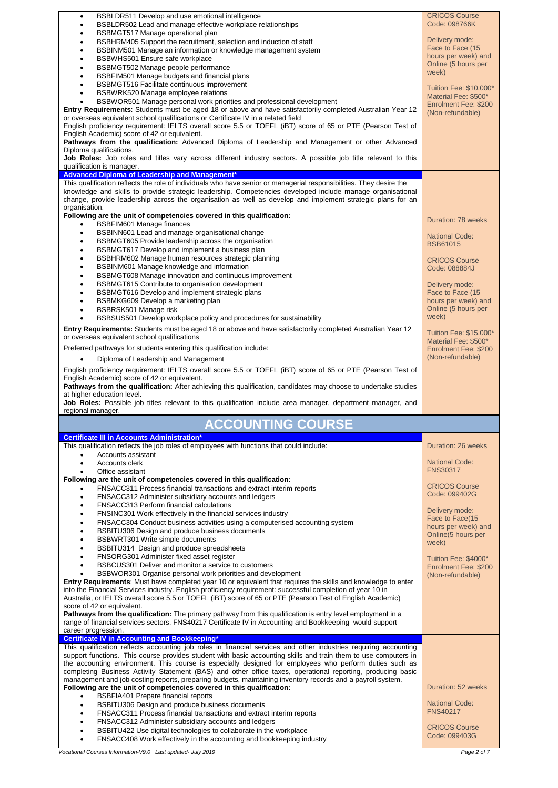| BSBLDR511 Develop and use emotional intelligence<br>٠                                                                                                                                                                               | <b>CRICOS Course</b><br>Code: 098766K          |
|-------------------------------------------------------------------------------------------------------------------------------------------------------------------------------------------------------------------------------------|------------------------------------------------|
| BSBLDR502 Lead and manage effective workplace relationships<br>BSBMGT517 Manage operational plan                                                                                                                                    |                                                |
| BSBHRM405 Support the recruitment, selection and induction of staff<br>٠                                                                                                                                                            | Delivery mode:                                 |
| BSBINM501 Manage an information or knowledge management system<br>$\bullet$                                                                                                                                                         | Face to Face (15                               |
| BSBWHS501 Ensure safe workplace<br>٠                                                                                                                                                                                                | hours per week) and                            |
| BSBMGT502 Manage people performance<br>٠                                                                                                                                                                                            | Online (5 hours per<br>week)                   |
| BSBFIM501 Manage budgets and financial plans<br>٠                                                                                                                                                                                   |                                                |
| BSBMGT516 Facilitate continuous improvement<br>٠                                                                                                                                                                                    | Tuition Fee: \$10,000*                         |
| BSBWRK520 Manage employee relations<br>٠<br>BSBWOR501 Manage personal work priorities and professional development                                                                                                                  | Material Fee: \$500*                           |
| <b>Entry Requirements:</b> Students must be aged 18 or above and have satisfactorily completed Australian Year 12                                                                                                                   | Enrolment Fee: \$200                           |
| or overseas equivalent school qualifications or Certificate IV in a related field                                                                                                                                                   | (Non-refundable)                               |
| English proficiency requirement: IELTS overall score 5.5 or TOEFL (iBT) score of 65 or PTE (Pearson Test of                                                                                                                         |                                                |
| English Academic) score of 42 or equivalent.                                                                                                                                                                                        |                                                |
| Pathways from the qualification: Advanced Diploma of Leadership and Management or other Advanced<br>Diploma qualifications.                                                                                                         |                                                |
| Job Roles: Job roles and titles vary across different industry sectors. A possible job title relevant to this                                                                                                                       |                                                |
| qualification is manager.                                                                                                                                                                                                           |                                                |
| Advanced Diploma of Leadership and Management*                                                                                                                                                                                      |                                                |
| This qualification reflects the role of individuals who have senior or managerial responsibilities. They desire the                                                                                                                 |                                                |
| knowledge and skills to provide strategic leadership. Competencies developed include manage organisational                                                                                                                          |                                                |
| change, provide leadership across the organisation as well as develop and implement strategic plans for an                                                                                                                          |                                                |
| organisation.<br>Following are the unit of competencies covered in this qualification:                                                                                                                                              |                                                |
| <b>BSBFIM601 Manage finances</b><br>$\bullet$                                                                                                                                                                                       | Duration: 78 weeks                             |
| BSBINN601 Lead and manage organisational change<br>$\bullet$                                                                                                                                                                        | <b>National Code:</b>                          |
| BSBMGT605 Provide leadership across the organisation<br>٠                                                                                                                                                                           | <b>BSB61015</b>                                |
| BSBMGT617 Develop and implement a business plan<br>٠                                                                                                                                                                                |                                                |
| BSBHRM602 Manage human resources strategic planning<br>$\bullet$                                                                                                                                                                    | <b>CRICOS Course</b>                           |
| BSBINM601 Manage knowledge and information<br>$\bullet$                                                                                                                                                                             | Code: 088884J                                  |
| BSBMGT608 Manage innovation and continuous improvement<br>$\bullet$                                                                                                                                                                 |                                                |
| BSBMGT615 Contribute to organisation development<br>BSBMGT616 Develop and implement strategic plans                                                                                                                                 | Delivery mode:<br>Face to Face (15             |
| BSBMKG609 Develop a marketing plan<br>٠                                                                                                                                                                                             | hours per week) and                            |
| BSBRSK501 Manage risk<br>$\bullet$                                                                                                                                                                                                  | Online (5 hours per                            |
| BSBSUS501 Develop workplace policy and procedures for sustainability<br>$\bullet$                                                                                                                                                   | week)                                          |
| <b>Entry Requirements:</b> Students must be aged 18 or above and have satisfactorily completed Australian Year 12                                                                                                                   |                                                |
| or overseas equivalent school qualifications                                                                                                                                                                                        | Tuition Fee: \$15,000*<br>Material Fee: \$500* |
| Preferred pathways for students entering this qualification include:                                                                                                                                                                | Enrolment Fee: \$200                           |
| Diploma of Leadership and Management                                                                                                                                                                                                | (Non-refundable)                               |
|                                                                                                                                                                                                                                     |                                                |
|                                                                                                                                                                                                                                     |                                                |
| English proficiency requirement: IELTS overall score 5.5 or TOEFL (iBT) score of 65 or PTE (Pearson Test of                                                                                                                         |                                                |
| English Academic) score of 42 or equivalent.                                                                                                                                                                                        |                                                |
| Pathways from the qualification: After achieving this qualification, candidates may choose to undertake studies<br>at higher education level.                                                                                       |                                                |
| Job Roles: Possible job titles relevant to this qualification include area manager, department manager, and                                                                                                                         |                                                |
| regional manager.                                                                                                                                                                                                                   |                                                |
| <b>ACCOUNTING COURSE</b>                                                                                                                                                                                                            |                                                |
| <b>Certificate III in Accounts Administration*</b>                                                                                                                                                                                  |                                                |
| This qualification reflects the job roles of employees with functions that could include:                                                                                                                                           | Duration: 26 weeks                             |
| Accounts assistant                                                                                                                                                                                                                  |                                                |
| Accounts clerk<br>$\bullet$                                                                                                                                                                                                         | <b>National Code:</b><br><b>FNS30317</b>       |
| Office assistant<br>Following are the unit of competencies covered in this qualification:                                                                                                                                           |                                                |
| FNSACC311 Process financial transactions and extract interim reports                                                                                                                                                                | <b>CRICOS Course</b>                           |
| FNSACC312 Administer subsidiary accounts and ledgers<br>٠                                                                                                                                                                           | Code: 099402G                                  |
| FNSACC313 Perform financial calculations<br>$\bullet$                                                                                                                                                                               |                                                |
| FNSINC301 Work effectively in the financial services industry<br>٠                                                                                                                                                                  | Delivery mode:<br>Face to Face(15              |
| FNSACC304 Conduct business activities using a computerised accounting system<br>$\bullet$                                                                                                                                           | hours per week) and                            |
| BSBITU306 Design and produce business documents                                                                                                                                                                                     | Online(5 hours per                             |
| BSBWRT301 Write simple documents<br>BSBITU314 Design and produce spreadsheets                                                                                                                                                       | week)                                          |
| FNSORG301 Administer fixed asset register                                                                                                                                                                                           |                                                |
| BSBCUS301 Deliver and monitor a service to customers                                                                                                                                                                                | Tuition Fee: \$4000*<br>Enrolment Fee: \$200   |
| BSBWOR301 Organise personal work priorities and development<br>$\bullet$                                                                                                                                                            | (Non-refundable)                               |
| <b>Entry Requirements:</b> Must have completed year 10 or equivalent that requires the skills and knowledge to enter                                                                                                                |                                                |
| into the Financial Services industry. English proficiency requirement: successful completion of year 10 in                                                                                                                          |                                                |
| Australia, or IELTS overall score 5.5 or TOEFL (iBT) score of 65 or PTE (Pearson Test of English Academic)<br>score of 42 or equivalent.                                                                                            |                                                |
| <b>Pathways from the qualification:</b> The primary pathway from this qualification is entry level employment in a                                                                                                                  |                                                |
| range of financial services sectors. FNS40217 Certificate IV in Accounting and Bookkeeping would support                                                                                                                            |                                                |
| career progression.                                                                                                                                                                                                                 |                                                |
| <b>Certificate IV in Accounting and Bookkeeping*</b>                                                                                                                                                                                |                                                |
| This qualification reflects accounting job roles in financial services and other industries requiring accounting<br>support functions. This course provides student with basic accounting skills and train them to use computers in |                                                |
| the accounting environment. This course is especially designed for employees who perform duties such as                                                                                                                             |                                                |
| completing Business Activity Statement (BAS) and other office taxes, operational reporting, producing basic                                                                                                                         |                                                |
| management and job costing reports, preparing budgets, maintaining inventory records and a payroll system.                                                                                                                          |                                                |
| Following are the unit of competencies covered in this qualification:<br>$\bullet$                                                                                                                                                  | Duration: 52 weeks                             |
| BSBFIA401 Prepare financial reports<br>BSBITU306 Design and produce business documents<br>$\bullet$                                                                                                                                 | <b>National Code:</b>                          |
| FNSACC311 Process financial transactions and extract interim reports<br>٠                                                                                                                                                           | <b>FNS40217</b>                                |
| FNSACC312 Administer subsidiary accounts and ledgers                                                                                                                                                                                |                                                |
| BSBITU422 Use digital technologies to collaborate in the workplace<br>FNSACC408 Work effectively in the accounting and bookkeeping industry                                                                                         | <b>CRICOS Course</b><br>Code: 099403G          |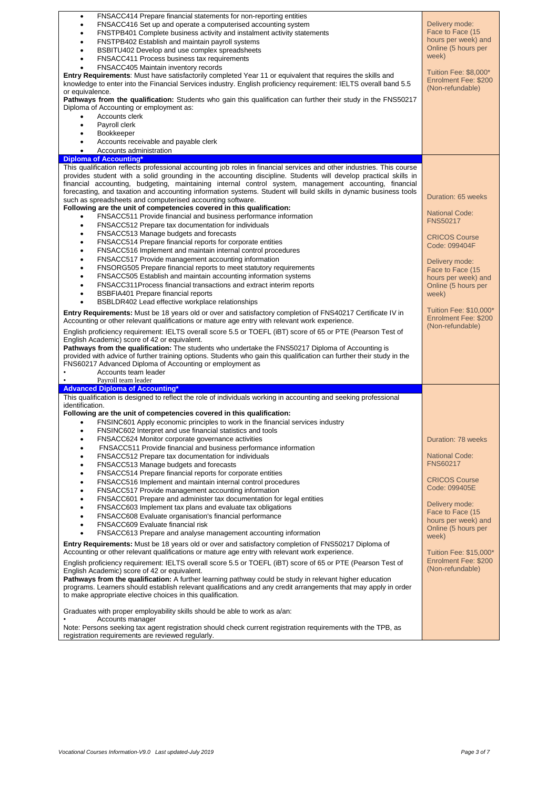| FNSACC414 Prepare financial statements for non-reporting entities<br>٠                                                                                                                                                     |                             |
|----------------------------------------------------------------------------------------------------------------------------------------------------------------------------------------------------------------------------|-----------------------------|
| FNSACC416 Set up and operate a computerised accounting system<br>٠                                                                                                                                                         | Delivery mode:              |
| FNSTPB401 Complete business activity and instalment activity statements                                                                                                                                                    | Face to Face (15            |
| FNSTPB402 Establish and maintain payroll systems                                                                                                                                                                           | hours per week) and         |
| BSBITU402 Develop and use complex spreadsheets                                                                                                                                                                             | Online (5 hours per         |
| FNSACC411 Process business tax requirements                                                                                                                                                                                | week)                       |
| FNSACC405 Maintain inventory records                                                                                                                                                                                       | Tuition Fee: \$8.000*       |
| Entry Requirements: Must have satisfactorily completed Year 11 or equivalent that requires the skills and                                                                                                                  | Enrolment Fee: \$200        |
| knowledge to enter into the Financial Services industry. English proficiency requirement: IELTS overall band 5.5                                                                                                           | (Non-refundable)            |
| or equivalence.                                                                                                                                                                                                            |                             |
| <b>Pathways from the qualification:</b> Students who gain this qualification can further their study in the FNS50217                                                                                                       |                             |
| Diploma of Accounting or employment as:                                                                                                                                                                                    |                             |
| Accounts clerk<br>٠                                                                                                                                                                                                        |                             |
| Payroll clerk                                                                                                                                                                                                              |                             |
| <b>Bookkeeper</b><br>٠                                                                                                                                                                                                     |                             |
| Accounts receivable and payable clerk<br>٠                                                                                                                                                                                 |                             |
| Accounts administration                                                                                                                                                                                                    |                             |
| <b>Diploma of Accounting'</b>                                                                                                                                                                                              |                             |
| This qualification reflects professional accounting job roles in financial services and other industries. This course                                                                                                      |                             |
| provides student with a solid grounding in the accounting discipline. Students will develop practical skills in                                                                                                            |                             |
| financial accounting, budgeting, maintaining internal control system, management accounting, financial                                                                                                                     |                             |
| forecasting, and taxation and accounting information systems. Student will build skills in dynamic business tools                                                                                                          | Duration: 65 weeks          |
| such as spreadsheets and computerised accounting software.<br>Following are the unit of competencies covered in this qualification:                                                                                        |                             |
|                                                                                                                                                                                                                            | <b>National Code:</b>       |
| FNSACC511 Provide financial and business performance information<br>٠                                                                                                                                                      | <b>FNS50217</b>             |
| FNSACC512 Prepare tax documentation for individuals<br>٠                                                                                                                                                                   |                             |
| FNSACC513 Manage budgets and forecasts<br>٠                                                                                                                                                                                | <b>CRICOS Course</b>        |
| FNSACC514 Prepare financial reports for corporate entities<br>٠                                                                                                                                                            | Code: 099404F               |
| FNSACC516 Implement and maintain internal control procedures<br>٠                                                                                                                                                          |                             |
| FNSACC517 Provide management accounting information<br>٠                                                                                                                                                                   | Delivery mode:              |
| FNSORG505 Prepare financial reports to meet statutory requirements<br>$\bullet$                                                                                                                                            | Face to Face (15            |
| FNSACC505 Establish and maintain accounting information systems<br>$\bullet$                                                                                                                                               | hours per week) and         |
| FNSACC311Process financial transactions and extract interim reports<br>$\bullet$                                                                                                                                           | Online (5 hours per         |
| BSBFIA401 Prepare financial reports<br>٠                                                                                                                                                                                   | week)                       |
| BSBLDR402 Lead effective workplace relationships                                                                                                                                                                           |                             |
| Entry Requirements: Must be 18 years old or over and satisfactory completion of FNS40217 Certificate IV in                                                                                                                 | Tuition Fee: \$10,000*      |
| Accounting or other relevant qualifications or mature age entry with relevant work experience.                                                                                                                             | Enrolment Fee: \$200        |
| English proficiency requirement: IELTS overall score 5.5 or TOEFL (iBT) score of 65 or PTE (Pearson Test of                                                                                                                | (Non-refundable)            |
|                                                                                                                                                                                                                            |                             |
|                                                                                                                                                                                                                            |                             |
| English Academic) score of 42 or equivalent.                                                                                                                                                                               |                             |
| <b>Pathways from the qualification:</b> The students who undertake the FNS50217 Diploma of Accounting is                                                                                                                   |                             |
| provided with advice of further training options. Students who gain this qualification can further their study in the                                                                                                      |                             |
| FNS60217 Advanced Diploma of Accounting or employment as                                                                                                                                                                   |                             |
| Accounts team leader                                                                                                                                                                                                       |                             |
| Payroll team leader                                                                                                                                                                                                        |                             |
| <b>Advanced Diploma of Accounting*</b>                                                                                                                                                                                     |                             |
| This qualification is designed to reflect the role of individuals working in accounting and seeking professional                                                                                                           |                             |
| identification.                                                                                                                                                                                                            |                             |
| Following are the unit of competencies covered in this qualification:                                                                                                                                                      |                             |
| FNSINC601 Apply economic principles to work in the financial services industry                                                                                                                                             |                             |
| FNSINC602 Interpret and use financial statistics and tools                                                                                                                                                                 |                             |
| FNSACC624 Monitor corporate governance activities<br>٠                                                                                                                                                                     | Duration: 78 weeks          |
| FNSACC511 Provide financial and business performance information                                                                                                                                                           |                             |
| FNSACC512 Prepare tax documentation for individuals<br>٠                                                                                                                                                                   | <b>National Code:</b>       |
| FNSACC513 Manage budgets and forecasts<br>٠                                                                                                                                                                                | <b>FNS60217</b>             |
| FNSACC514 Prepare financial reports for corporate entities<br>$\bullet$                                                                                                                                                    |                             |
| FNSACC516 Implement and maintain internal control procedures<br>٠                                                                                                                                                          | <b>CRICOS Course</b>        |
| FNSACC517 Provide management accounting information<br>٠                                                                                                                                                                   | Code: 099405E               |
| FNSACC601 Prepare and administer tax documentation for legal entities<br>٠                                                                                                                                                 | Delivery mode:              |
| FNSACC603 Implement tax plans and evaluate tax obligations                                                                                                                                                                 | Face to Face (15            |
| FNSACC608 Evaluate organisation's financial performance                                                                                                                                                                    | hours per week) and         |
| FNSACC609 Evaluate financial risk                                                                                                                                                                                          | Online (5 hours per         |
| FNSACC613 Prepare and analyse management accounting information                                                                                                                                                            | week)                       |
| <b>Entry Requirements:</b> Must be 18 years old or over and satisfactory completion of FNS50217 Diploma of                                                                                                                 |                             |
| Accounting or other relevant qualifications or mature age entry with relevant work experience.                                                                                                                             | Tuition Fee: \$15,000*      |
|                                                                                                                                                                                                                            | <b>Enrolment Fee: \$200</b> |
| English proficiency requirement: IELTS overall score 5.5 or TOEFL (iBT) score of 65 or PTE (Pearson Test of                                                                                                                | (Non-refundable)            |
| English Academic) score of 42 or equivalent.                                                                                                                                                                               |                             |
| Pathways from the qualification: A further learning pathway could be study in relevant higher education<br>programs. Learners should establish relevant qualifications and any credit arrangements that may apply in order |                             |
| to make appropriate elective choices in this qualification.                                                                                                                                                                |                             |
|                                                                                                                                                                                                                            |                             |
| Graduates with proper employability skills should be able to work as a/an:                                                                                                                                                 |                             |
| Accounts manager<br>Note: Persons seeking tax agent registration should check current registration requirements with the TPB, as                                                                                           |                             |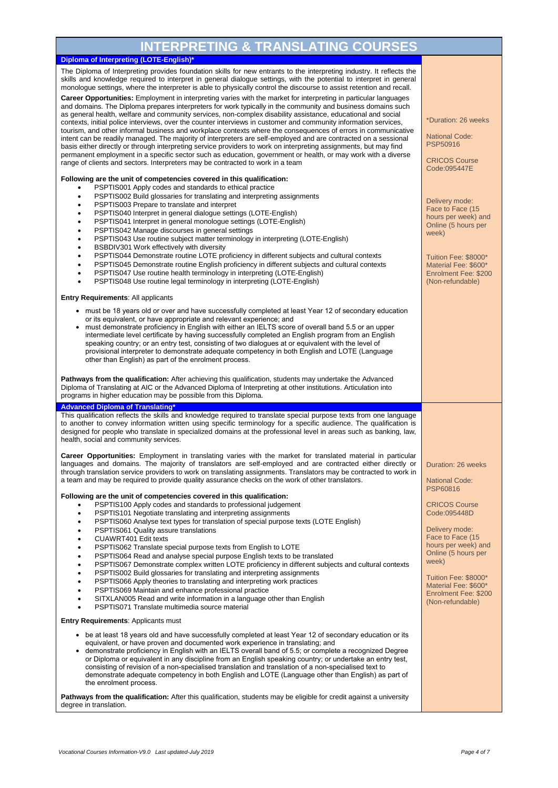| <b>INTERPRETING &amp; TRANSLATING COURSES</b>                                                                                                                                                                                                                                                                                                                                                                                                                                                                                                                                                                                                             |                                                                                          |
|-----------------------------------------------------------------------------------------------------------------------------------------------------------------------------------------------------------------------------------------------------------------------------------------------------------------------------------------------------------------------------------------------------------------------------------------------------------------------------------------------------------------------------------------------------------------------------------------------------------------------------------------------------------|------------------------------------------------------------------------------------------|
| Diploma of Interpreting (LOTE-English)*                                                                                                                                                                                                                                                                                                                                                                                                                                                                                                                                                                                                                   |                                                                                          |
| The Diploma of Interpreting provides foundation skills for new entrants to the interpreting industry. It reflects the<br>skills and knowledge required to interpret in general dialogue settings, with the potential to interpret in general<br>monologue settings, where the interpreter is able to physically control the discourse to assist retention and recall.<br>Career Opportunities: Employment in interpreting varies with the market for interpreting in particular languages                                                                                                                                                                 |                                                                                          |
| and domains. The Diploma prepares interpreters for work typically in the community and business domains such<br>as general health, welfare and community services, non-complex disability assistance, educational and social<br>contexts, initial police interviews, over the counter interviews in customer and community information services,<br>tourism, and other informal business and workplace contexts where the consequences of errors in communicative                                                                                                                                                                                         | *Duration: 26 weeks                                                                      |
| intent can be readily managed. The majority of interpreters are self-employed and are contracted on a sessional<br>basis either directly or through interpreting service providers to work on interpreting assignments, but may find<br>permanent employment in a specific sector such as education, government or health, or may work with a diverse                                                                                                                                                                                                                                                                                                     | <b>National Code:</b><br>PSP50916                                                        |
| range of clients and sectors. Interpreters may be contracted to work in a team<br>Following are the unit of competencies covered in this qualification:                                                                                                                                                                                                                                                                                                                                                                                                                                                                                                   | <b>CRICOS Course</b><br>Code:095447E                                                     |
| PSPTIS001 Apply codes and standards to ethical practice<br>$\bullet$                                                                                                                                                                                                                                                                                                                                                                                                                                                                                                                                                                                      |                                                                                          |
| PSPTIS002 Build glossaries for translating and interpreting assignments<br>$\bullet$<br>PSPTIS003 Prepare to translate and interpret<br>$\bullet$                                                                                                                                                                                                                                                                                                                                                                                                                                                                                                         | Delivery mode:                                                                           |
| PSPTIS040 Interpret in general dialogue settings (LOTE-English)<br>$\bullet$<br>PSPTIS041 Interpret in general monologue settings (LOTE-English)<br>$\bullet$<br>PSPTIS042 Manage discourses in general settings                                                                                                                                                                                                                                                                                                                                                                                                                                          | Face to Face (15<br>hours per week) and<br>Online (5 hours per                           |
| $\bullet$<br>PSPTIS043 Use routine subject matter terminology in interpreting (LOTE-English)<br>$\bullet$<br>BSBDIV301 Work effectively with diversity<br>$\bullet$                                                                                                                                                                                                                                                                                                                                                                                                                                                                                       | week)                                                                                    |
| PSPTIS044 Demonstrate routine LOTE proficiency in different subjects and cultural contexts<br>$\bullet$<br>PSPTIS045 Demonstrate routine English proficiency in different subjects and cultural contexts<br>$\bullet$<br>PSPTIS047 Use routine health terminology in interpreting (LOTE-English)<br>$\bullet$<br>PSPTIS048 Use routine legal terminology in interpreting (LOTE-English)                                                                                                                                                                                                                                                                   | Tuition Fee: \$8000*<br>Material Fee: \$600*<br>Enrolment Fee: \$200<br>(Non-refundable) |
| <b>Entry Requirements: All applicants</b>                                                                                                                                                                                                                                                                                                                                                                                                                                                                                                                                                                                                                 |                                                                                          |
| • must be 18 years old or over and have successfully completed at least Year 12 of secondary education<br>or its equivalent, or have appropriate and relevant experience; and<br>must demonstrate proficiency in English with either an IELTS score of overall band 5.5 or an upper<br>intermediate level certificate by having successfully completed an English program from an English<br>speaking country; or an entry test, consisting of two dialogues at or equivalent with the level of<br>provisional interpreter to demonstrate adequate competency in both English and LOTE (Language<br>other than English) as part of the enrolment process. |                                                                                          |
| <b>Pathways from the qualification:</b> After achieving this qualification, students may undertake the Advanced<br>Diploma of Translating at AIC or the Advanced Diploma of Interpreting at other institutions. Articulation into<br>programs in higher education may be possible from this Diploma.                                                                                                                                                                                                                                                                                                                                                      |                                                                                          |
| <b>Advanced Diploma of Translating*</b><br>This qualification reflects the skills and knowledge required to translate special purpose texts from one language                                                                                                                                                                                                                                                                                                                                                                                                                                                                                             |                                                                                          |
| to another to convey information written using specific terminology for a specific audience. The qualification is<br>designed for people who translate in specialized domains at the professional level in areas such as banking, law,<br>health, social and community services.                                                                                                                                                                                                                                                                                                                                                                          |                                                                                          |
| Career Opportunities: Employment in translating varies with the market for translated material in particular<br>languages and domains. The majority of translators are self-employed and are contracted either directly or<br>through translation service providers to work on translating assignments. Translators may be contracted to work in                                                                                                                                                                                                                                                                                                          | Duration: 26 weeks                                                                       |
| a team and may be required to provide quality assurance checks on the work of other translators.<br>Following are the unit of competencies covered in this qualification:                                                                                                                                                                                                                                                                                                                                                                                                                                                                                 | <b>National Code:</b><br>PSP60816                                                        |
| PSPTIS100 Apply codes and standards to professional judgement                                                                                                                                                                                                                                                                                                                                                                                                                                                                                                                                                                                             | <b>CRICOS Course</b>                                                                     |
| PSPTIS101 Negotiate translating and interpreting assignments<br>$\bullet$<br>PSPTIS060 Analyse text types for translation of special purpose texts (LOTE English)<br>$\bullet$                                                                                                                                                                                                                                                                                                                                                                                                                                                                            | Code:095448D                                                                             |
| PSPTIS061 Quality assure translations<br>$\bullet$                                                                                                                                                                                                                                                                                                                                                                                                                                                                                                                                                                                                        | Delivery mode:                                                                           |
| CUAWRT401 Edit texts<br>$\bullet$<br>PSPTIS062 Translate special purpose texts from English to LOTE<br>$\bullet$                                                                                                                                                                                                                                                                                                                                                                                                                                                                                                                                          | Face to Face (15<br>hours per week) and                                                  |
| PSPTIS064 Read and analyse special purpose English texts to be translated<br>$\bullet$                                                                                                                                                                                                                                                                                                                                                                                                                                                                                                                                                                    | Online (5 hours per                                                                      |
| PSPTIS067 Demonstrate complex written LOTE proficiency in different subjects and cultural contexts<br>$\bullet$                                                                                                                                                                                                                                                                                                                                                                                                                                                                                                                                           | week)                                                                                    |
| PSPTIS002 Build glossaries for translating and interpreting assignments<br>$\bullet$<br>٠                                                                                                                                                                                                                                                                                                                                                                                                                                                                                                                                                                 | Tuition Fee: \$8000*                                                                     |
| PSPTIS066 Apply theories to translating and interpreting work practices<br>PSPTIS069 Maintain and enhance professional practice                                                                                                                                                                                                                                                                                                                                                                                                                                                                                                                           | Material Fee: \$600*<br>Enrolment Fee: \$200                                             |
| SITXLAN005 Read and write information in a language other than English<br>PSPTIS071 Translate multimedia source material                                                                                                                                                                                                                                                                                                                                                                                                                                                                                                                                  | (Non-refundable)                                                                         |
| <b>Entry Requirements: Applicants must</b>                                                                                                                                                                                                                                                                                                                                                                                                                                                                                                                                                                                                                |                                                                                          |
| • be at least 18 years old and have successfully completed at least Year 12 of secondary education or its<br>equivalent, or have proven and documented work experience in translating; and<br>demonstrate proficiency in English with an IELTS overall band of 5.5; or complete a recognized Degree<br>or Diploma or equivalent in any discipline from an English speaking country; or undertake an entry test,<br>consisting of revision of a non-specialised translation and translation of a non-specialised text to<br>demonstrate adequate competency in both English and LOTE (Language other than English) as part of<br>the enrolment process.    |                                                                                          |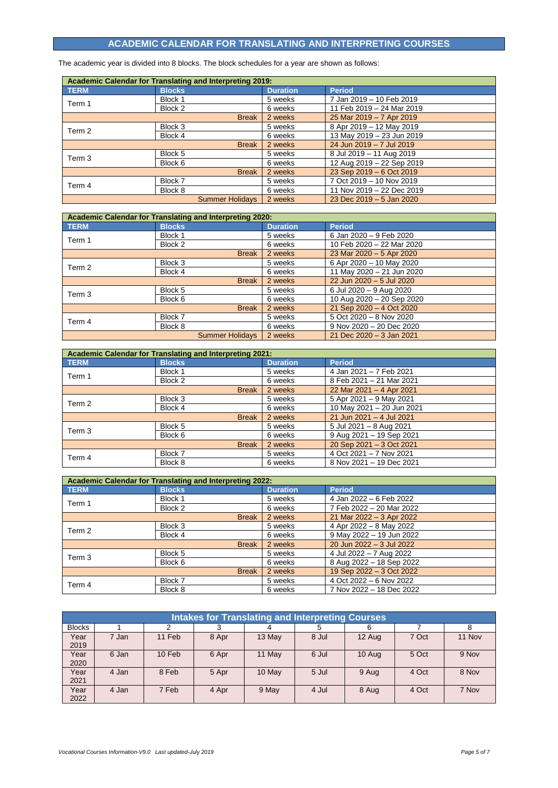# **ACADEMIC CALENDAR FOR TRANSLATING AND INTERPRETING COURSES**

The academic year is divided into 8 blocks. The block schedules for a year are shown as follows:

| <b>Academic Calendar for Translating and Interpreting 2019:</b> |               |                        |                 |                           |  |
|-----------------------------------------------------------------|---------------|------------------------|-----------------|---------------------------|--|
| <b>TERM</b>                                                     | <b>Blocks</b> |                        | <b>Duration</b> | <b>Period</b>             |  |
| Term 1                                                          | Block 1       |                        | 5 weeks         | 7 Jan 2019 - 10 Feb 2019  |  |
|                                                                 | Block 2       |                        | 6 weeks         | 11 Feb 2019 - 24 Mar 2019 |  |
|                                                                 |               | <b>Break</b>           | 2 weeks         | 25 Mar 2019 - 7 Apr 2019  |  |
| Term 2                                                          | Block 3       |                        | 5 weeks         | 8 Apr 2019 - 12 May 2019  |  |
|                                                                 | Block 4       |                        | 6 weeks         | 13 May 2019 - 23 Jun 2019 |  |
|                                                                 |               | <b>Break</b>           | 2 weeks         | 24 Jun 2019 - 7 Jul 2019  |  |
| Term 3                                                          | Block 5       |                        | 5 weeks         | 8 Jul 2019 - 11 Aug 2019  |  |
|                                                                 | Block 6       |                        | 6 weeks         | 12 Aug 2019 - 22 Sep 2019 |  |
|                                                                 |               | <b>Break</b>           | 2 weeks         | 23 Sep 2019 - 6 Oct 2019  |  |
|                                                                 | Block 7       |                        | 5 weeks         | 7 Oct 2019 - 10 Nov 2019  |  |
| Term 4                                                          | Block 8       |                        | 6 weeks         | 11 Nov 2019 - 22 Dec 2019 |  |
|                                                                 |               | <b>Summer Holidays</b> | 2 weeks         | 23 Dec 2019 - 5 Jan 2020  |  |

| <b>Academic Calendar for Translating and Interpreting 2020:</b> |               |                        |                 |                              |  |
|-----------------------------------------------------------------|---------------|------------------------|-----------------|------------------------------|--|
| <b>TERM</b>                                                     | <b>Blocks</b> |                        | <b>Duration</b> | <b>Period</b>                |  |
| Term 1                                                          | Block 1       |                        | 5 weeks         | 6 Jan 2020 - 9 Feb 2020      |  |
|                                                                 | Block 2       |                        | 6 weeks         | 10 Feb 2020 - 22 Mar 2020    |  |
|                                                                 |               | <b>Break</b>           | 2 weeks         | 23 Mar 2020 - 5 Apr 2020     |  |
| Term 2                                                          | Block 3       |                        | 5 weeks         | 6 Apr 2020 - 10 May 2020     |  |
|                                                                 | Block 4       |                        | 6 weeks         | 11 May 2020 - 21 Jun 2020    |  |
|                                                                 |               | <b>Break</b>           | 2 weeks         | 22 Jun 2020 - 5 Jul 2020     |  |
| Term 3                                                          | Block 5       |                        | 5 weeks         | 6 Jul 2020 - 9 Aug 2020      |  |
|                                                                 | Block 6       |                        | 6 weeks         | 10 Aug 2020 - 20 Sep 2020    |  |
|                                                                 |               | <b>Break</b>           | 2 weeks         | 21 Sep 2020 - 4 Oct 2020     |  |
| Term 4                                                          | Block 7       |                        | 5 weeks         | 5 Oct 2020 - 8 Nov 2020      |  |
|                                                                 | Block 8       |                        | 6 weeks         | 9 Nov 2020 - 20 Dec 2020     |  |
|                                                                 |               | <b>Summer Holidavs</b> | 2 weeks         | 21 Dec $2020 - 3$ Jan $2021$ |  |

| Academic Calendar for Translating and Interpreting 2021: |               |                 |                           |  |
|----------------------------------------------------------|---------------|-----------------|---------------------------|--|
| <b>TERM</b>                                              | <b>Blocks</b> | <b>Duration</b> | <b>Period</b>             |  |
| Term 1                                                   | Block 1       | 5 weeks         | 4 Jan 2021 - 7 Feb 2021   |  |
|                                                          | Block 2       | 6 weeks         | 8 Feb 2021 - 21 Mar 2021  |  |
|                                                          | <b>Break</b>  | 2 weeks         | 22 Mar 2021 - 4 Apr 2021  |  |
| Term 2                                                   | Block 3       | 5 weeks         | 5 Apr 2021 - 9 May 2021   |  |
|                                                          | Block 4       | 6 weeks         | 10 May 2021 - 20 Jun 2021 |  |
|                                                          | <b>Break</b>  | 2 weeks         | 21 Jun 2021 - 4 Jul 2021  |  |
| Term 3                                                   | Block 5       | 5 weeks         | 5 Jul 2021 - 8 Aug 2021   |  |
|                                                          | Block 6       | 6 weeks         | 9 Aug 2021 - 19 Sep 2021  |  |
|                                                          | <b>Break</b>  | 2 weeks         | 20 Sep 2021 - 3 Oct 2021  |  |
| Term 4                                                   | Block 7       | 5 weeks         | 4 Oct 2021 - 7 Nov 2021   |  |
|                                                          | Block 8       | 6 weeks         | 8 Nov 2021 - 19 Dec 2021  |  |

| <b>Academic Calendar for Translating and Interpreting 2022:</b> |               |                 |                          |  |  |
|-----------------------------------------------------------------|---------------|-----------------|--------------------------|--|--|
| <b>TERM</b>                                                     | <b>Blocks</b> | <b>Duration</b> | <b>Period</b>            |  |  |
| Term 1                                                          | Block 1       | 5 weeks         | 4 Jan 2022 - 6 Feb 2022  |  |  |
|                                                                 | Block 2       | 6 weeks         | 7 Feb 2022 - 20 Mar 2022 |  |  |
|                                                                 | <b>Break</b>  | 2 weeks         | 21 Mar 2022 - 3 Apr 2022 |  |  |
| Term 2                                                          | Block 3       | 5 weeks         | 4 Apr 2022 - 8 May 2022  |  |  |
|                                                                 | Block 4       | 6 weeks         | 9 May 2022 - 19 Jun 2022 |  |  |
|                                                                 | <b>Break</b>  | 2 weeks         | 20 Jun 2022 - 3 Jul 2022 |  |  |
| Term 3                                                          | Block 5       | 5 weeks         | 4 Jul 2022 - 7 Aug 2022  |  |  |
|                                                                 | Block 6       | 6 weeks         | 8 Aug 2022 - 18 Sep 2022 |  |  |
|                                                                 | <b>Break</b>  | 2 weeks         | 19 Sep 2022 - 3 Oct 2022 |  |  |
|                                                                 | Block 7       | 5 weeks         | 4 Oct 2022 - 6 Nov 2022  |  |  |
| Term 4                                                          | Block 8       | 6 weeks         | 7 Nov 2022 - 18 Dec 2022 |  |  |

|               | <b>Intakes for Translating and Interpreting Courses</b> |        |       |        |       |        |       |        |
|---------------|---------------------------------------------------------|--------|-------|--------|-------|--------|-------|--------|
| <b>Blocks</b> |                                                         |        |       |        | 5     |        |       | 8      |
| Year<br>2019  | 7 Jan                                                   | 11 Feb | 8 Apr | 13 May | 8 Jul | 12 Aug | 7 Oct | 11 Nov |
| Year<br>2020  | 6 Jan                                                   | 10 Feb | 6 Apr | 11 May | 6 Jul | 10 Aug | 5 Oct | 9 Nov  |
| Year<br>2021  | 4 Jan                                                   | 8 Feb  | 5 Apr | 10 May | 5 Jul | 9 Aug  | 4 Oct | 8 Nov  |
| Year<br>2022  | 4 Jan                                                   | 7 Feb  | 4 Apr | 9 May  | 4 Jul | 8 Aug  | 4 Oct | 7 Nov  |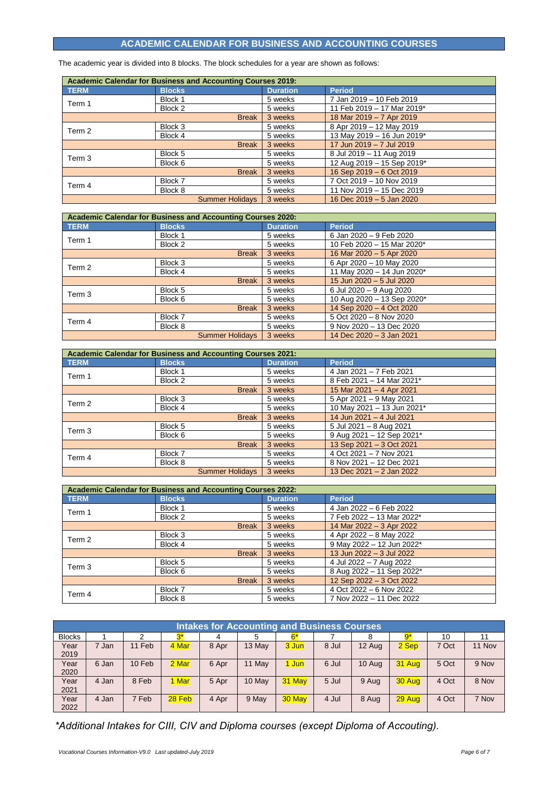## **ACADEMIC CALENDAR FOR BUSINESS AND ACCOUNTING COURSES**

The academic year is divided into 8 blocks. The block schedules for a year are shown as follows:

| <b>Academic Calendar for Business and Accounting Courses 2019:</b> |               |                        |                 |                            |  |
|--------------------------------------------------------------------|---------------|------------------------|-----------------|----------------------------|--|
| <b>TERM</b>                                                        | <b>Blocks</b> |                        | <b>Duration</b> | <b>Period</b>              |  |
| Term 1                                                             | Block 1       |                        | 5 weeks         | 7 Jan 2019 - 10 Feb 2019   |  |
|                                                                    | Block 2       |                        | 5 weeks         | 11 Feb 2019 - 17 Mar 2019* |  |
|                                                                    |               | <b>Break</b>           | 3 weeks         | 18 Mar 2019 - 7 Apr 2019   |  |
| Term 2                                                             | Block 3       |                        | 5 weeks         | 8 Apr 2019 - 12 May 2019   |  |
|                                                                    | Block 4       |                        | 5 weeks         | 13 May 2019 - 16 Jun 2019* |  |
|                                                                    |               | <b>Break</b>           | 3 weeks         | 17 Jun 2019 - 7 Jul 2019   |  |
| Term 3                                                             | Block 5       |                        | 5 weeks         | 8 Jul 2019 - 11 Aug 2019   |  |
|                                                                    | Block 6       |                        | 5 weeks         | 12 Aug 2019 - 15 Sep 2019* |  |
|                                                                    |               | <b>Break</b>           | 3 weeks         | 16 Sep 2019 - 6 Oct 2019   |  |
|                                                                    | Block 7       |                        | 5 weeks         | 7 Oct 2019 - 10 Nov 2019   |  |
| Term 4                                                             | Block 8       |                        | 5 weeks         | 11 Nov 2019 - 15 Dec 2019  |  |
|                                                                    |               | <b>Summer Holidays</b> | 3 weeks         | 16 Dec 2019 - 5 Jan 2020   |  |

| <b>Academic Calendar for Business and Accounting Courses 2020:</b> |               |                        |                 |                            |  |
|--------------------------------------------------------------------|---------------|------------------------|-----------------|----------------------------|--|
| <b>TERM</b>                                                        | <b>Blocks</b> |                        | <b>Duration</b> | <b>Period</b>              |  |
| Term 1                                                             | Block 1       |                        | 5 weeks         | 6 Jan 2020 - 9 Feb 2020    |  |
|                                                                    | Block 2       |                        | 5 weeks         | 10 Feb 2020 - 15 Mar 2020* |  |
|                                                                    |               | <b>Break</b>           | 3 weeks         | 16 Mar 2020 - 5 Apr 2020   |  |
| Term 2                                                             | Block 3       |                        | 5 weeks         | 6 Apr 2020 - 10 May 2020   |  |
|                                                                    | Block 4       |                        | 5 weeks         | 11 May 2020 - 14 Jun 2020* |  |
|                                                                    |               | <b>Break</b>           | 3 weeks         | 15 Jun 2020 - 5 Jul 2020   |  |
| Term <sub>3</sub>                                                  | Block 5       |                        | 5 weeks         | 6 Jul 2020 - 9 Aug 2020    |  |
|                                                                    | Block 6       |                        | 5 weeks         | 10 Aug 2020 - 13 Sep 2020* |  |
|                                                                    |               | <b>Break</b>           | 3 weeks         | 14 Sep 2020 - 4 Oct 2020   |  |
|                                                                    | Block 7       |                        | 5 weeks         | 5 Oct 2020 - 8 Nov 2020    |  |
| Term 4                                                             | Block 8       |                        | 5 weeks         | 9 Nov 2020 - 13 Dec 2020   |  |
|                                                                    |               | <b>Summer Holidays</b> | 3 weeks         | 14 Dec 2020 - 3 Jan 2021   |  |

| <b>Academic Calendar for Business and Accounting Courses 2021:</b> |                        |                 |                            |  |  |
|--------------------------------------------------------------------|------------------------|-----------------|----------------------------|--|--|
| <b>TERM</b>                                                        | <b>Blocks</b>          | <b>Duration</b> | <b>Period</b>              |  |  |
| Term 1                                                             | Block 1                | 5 weeks         | 4 Jan 2021 - 7 Feb 2021    |  |  |
|                                                                    | Block 2                | 5 weeks         | 8 Feb 2021 - 14 Mar 2021*  |  |  |
|                                                                    | <b>Break</b>           | 3 weeks         | 15 Mar 2021 - 4 Apr 2021   |  |  |
| Term 2                                                             | Block 3                | 5 weeks         | 5 Apr 2021 - 9 May 2021    |  |  |
|                                                                    | Block 4                | 5 weeks         | 10 May 2021 - 13 Jun 2021* |  |  |
|                                                                    | <b>Break</b>           | 3 weeks         | 14 Jun 2021 - 4 Jul 2021   |  |  |
| Term <sub>3</sub>                                                  | Block 5                | 5 weeks         | 5 Jul 2021 - 8 Aug 2021    |  |  |
|                                                                    | Block 6                | 5 weeks         | 9 Aug 2021 - 12 Sep 2021*  |  |  |
|                                                                    | <b>Break</b>           | 3 weeks         | 13 Sep 2021 - 3 Oct 2021   |  |  |
| Term 4                                                             | Block 7                | 5 weeks         | 4 Oct 2021 - 7 Nov 2021    |  |  |
|                                                                    | Block 8                | 5 weeks         | 8 Nov 2021 - 12 Dec 2021   |  |  |
|                                                                    | <b>Summer Holidays</b> | 3 weeks         | 13 Dec 2021 - 2 Jan 2022   |  |  |

|             | <b>Academic Calendar for Business and Accounting Courses 2022:</b> |                 |                           |
|-------------|--------------------------------------------------------------------|-----------------|---------------------------|
| <b>TERM</b> | <b>Blocks</b>                                                      | <b>Duration</b> | <b>Period</b>             |
| Term 1      | Block 1                                                            | 5 weeks         | 4 Jan 2022 - 6 Feb 2022   |
|             | Block 2                                                            | 5 weeks         | 7 Feb 2022 - 13 Mar 2022* |
|             | <b>Break</b>                                                       | 3 weeks         | 14 Mar 2022 - 3 Apr 2022  |
| Term 2      | Block 3                                                            | 5 weeks         | 4 Apr 2022 - 8 May 2022   |
|             | Block 4                                                            | 5 weeks         | 9 May 2022 - 12 Jun 2022* |
|             | <b>Break</b>                                                       | 3 weeks         | 13 Jun 2022 - 3 Jul 2022  |
| Term 3      | Block 5                                                            | 5 weeks         | 4 Jul 2022 - 7 Aug 2022   |
|             | Block 6                                                            | 5 weeks         | 8 Aug 2022 - 11 Sep 2022* |
|             | <b>Break</b>                                                       | 3 weeks         | 12 Sep 2022 - 3 Oct 2022  |
| Term 4      | Block 7                                                            | 5 weeks         | 4 Oct 2022 - 6 Nov 2022   |
|             | Block 8                                                            | 5 weeks         | 7 Nov 2022 - 11 Dec 2022  |

|               | <b>Intakes for Accounting and Business Courses</b> |        |        |       |        |        |       |        |        |       |        |
|---------------|----------------------------------------------------|--------|--------|-------|--------|--------|-------|--------|--------|-------|--------|
| <b>Blocks</b> |                                                    |        |        |       |        | $6*$   |       | ŏ      | 9*     | 10    | 11     |
| Year<br>2019  | 7 Jan                                              | 11 Feb | 4 Mar  | 8 Apr | 13 May | 3 Jun  | 8 Jul | 12 Aug | 2 Sep  | 7 Oct | 11 Nov |
| Year<br>2020  | 6 Jan                                              | 10 Feb | 2 Mar  | 6 Apr | 11 May | 1 Jun  | 6 Jul | 10 Aug | 31 Aug | 5 Oct | 9 Nov  |
| Year<br>2021  | 4 Jan                                              | 8 Feb  | 1 Mar  | 5 Apr | 10 May | 31 May | 5 Jul | 9 Aug  | 30 Aug | 4 Oct | 8 Nov  |
| Year<br>2022  | 4 Jan                                              | 7 Feb  | 28 Feb | 4 Apr | 9 May  | 30 May | 4 Jul | 8 Aug  | 29 Aug | 4 Oct | 7 Nov  |

*\*Additional Intakes for CIII, CIV and Diploma courses (except Diploma of Accouting).*